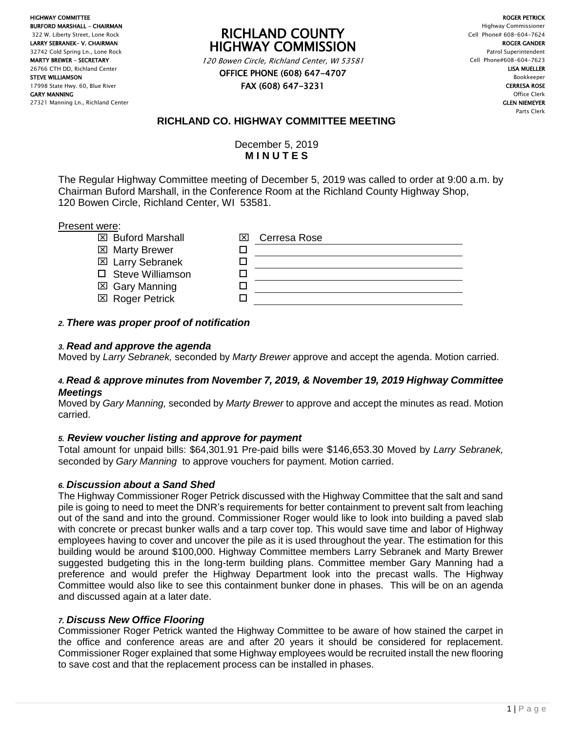HIGHWAY COMMITTEE BURFORD MARSHALL – CHAIRMAN 322 W. Liberty Street, Lone Rock LARRY SEBRANEK– V. CHAIRMAN 32742 Cold Spring Ln., Lone Rock MARTY BREWER – SECRETARY 26766 CTH DD, Richland Center STEVE WILLIAMSON 17998 State Hwy. 60, Blue River GARY MANNING 27321 Manning Ln., Richland Center

# RICHLAND COUNTY HIGHWAY COMMISSION

120 Bowen Circle, Richland Center, WI 53581 OFFICE PHONE (608) 647-4707

FAX (608) 647-3231

ROGER PETRICK Highway Commissioner Cell Phone# 608-604-7624 ROGER GANDER Patrol Superintendent Cell Phone#608-604-7623 LISA MUELLER Bookkeeper CERRESA ROSE Office Clerk GLEN NIEMEYER Parts Clerk

# **RICHLAND CO. HIGHWAY COMMITTEE MEETING**

December 5, 2019 **M I N U T E S**

The Regular Highway Committee meeting of December 5, 2019 was called to order at 9:00 a.m. by Chairman Buford Marshall, in the Conference Room at the Richland County Highway Shop, 120 Bowen Circle, Richland Center, WI 53581.

#### Present were:

| <b>EX</b> Buford Marshall | Cerresa Rose<br>l×l |
|---------------------------|---------------------|
| ⊠ Marty Brewer            |                     |
| <b>⊠</b> Larry Sebranek   |                     |
| □ Steve Williamson        |                     |
| ⊠ Gary Manning            |                     |
| <b>⊠</b> Roger Petrick    |                     |
|                           |                     |

# *2. There was proper proof of notification*

#### *3. Read and approve the agenda*

Moved by *Larry Sebranek,* seconded by *Marty Brewer* approve and accept the agenda. Motion carried.

#### *4. Read & approve minutes from November 7, 2019, & November 19, 2019 Highway Committee Meetings*

Moved by *Gary Manning,* seconded by *Marty Brewer* to approve and accept the minutes as read. Motion carried.

# *5. Review voucher listing and approve for payment*

Total amount for unpaid bills: \$64,301.91 Pre-paid bills were \$146,653.30 Moved by *Larry Sebranek,* seconded by *Gary Manning* to approve vouchers for payment. Motion carried.

# *6. Discussion about a Sand Shed*

The Highway Commissioner Roger Petrick discussed with the Highway Committee that the salt and sand pile is going to need to meet the DNR's requirements for better containment to prevent salt from leaching out of the sand and into the ground. Commissioner Roger would like to look into building a paved slab with concrete or precast bunker walls and a tarp cover top. This would save time and labor of Highway employees having to cover and uncover the pile as it is used throughout the year. The estimation for this building would be around \$100,000. Highway Committee members Larry Sebranek and Marty Brewer suggested budgeting this in the long-term building plans. Committee member Gary Manning had a preference and would prefer the Highway Department look into the precast walls. The Highway Committee would also like to see this containment bunker done in phases. This will be on an agenda and discussed again at a later date.

# *7. Discuss New Office Flooring*

Commissioner Roger Petrick wanted the Highway Committee to be aware of how stained the carpet in the office and conference areas are and after 20 years it should be considered for replacement. Commissioner Roger explained that some Highway employees would be recruited install the new flooring to save cost and that the replacement process can be installed in phases.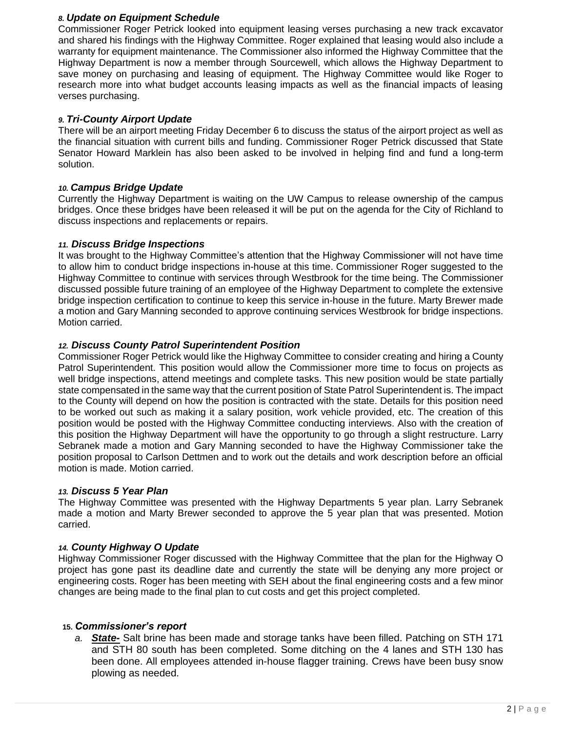#### *8. Update on Equipment Schedule*

Commissioner Roger Petrick looked into equipment leasing verses purchasing a new track excavator and shared his findings with the Highway Committee. Roger explained that leasing would also include a warranty for equipment maintenance. The Commissioner also informed the Highway Committee that the Highway Department is now a member through Sourcewell, which allows the Highway Department to save money on purchasing and leasing of equipment. The Highway Committee would like Roger to research more into what budget accounts leasing impacts as well as the financial impacts of leasing verses purchasing.

#### *9. Tri-County Airport Update*

There will be an airport meeting Friday December 6 to discuss the status of the airport project as well as the financial situation with current bills and funding. Commissioner Roger Petrick discussed that State Senator Howard Marklein has also been asked to be involved in helping find and fund a long-term solution.

#### *10. Campus Bridge Update*

Currently the Highway Department is waiting on the UW Campus to release ownership of the campus bridges. Once these bridges have been released it will be put on the agenda for the City of Richland to discuss inspections and replacements or repairs.

#### *11. Discuss Bridge Inspections*

It was brought to the Highway Committee's attention that the Highway Commissioner will not have time to allow him to conduct bridge inspections in-house at this time. Commissioner Roger suggested to the Highway Committee to continue with services through Westbrook for the time being. The Commissioner discussed possible future training of an employee of the Highway Department to complete the extensive bridge inspection certification to continue to keep this service in-house in the future. Marty Brewer made a motion and Gary Manning seconded to approve continuing services Westbrook for bridge inspections. Motion carried.

#### *12. Discuss County Patrol Superintendent Position*

Commissioner Roger Petrick would like the Highway Committee to consider creating and hiring a County Patrol Superintendent. This position would allow the Commissioner more time to focus on projects as well bridge inspections, attend meetings and complete tasks. This new position would be state partially state compensated in the same way that the current position of State Patrol Superintendent is. The impact to the County will depend on how the position is contracted with the state. Details for this position need to be worked out such as making it a salary position, work vehicle provided, etc. The creation of this position would be posted with the Highway Committee conducting interviews. Also with the creation of this position the Highway Department will have the opportunity to go through a slight restructure. Larry Sebranek made a motion and Gary Manning seconded to have the Highway Commissioner take the position proposal to Carlson Dettmen and to work out the details and work description before an official motion is made. Motion carried.

#### *13. Discuss 5 Year Plan*

The Highway Committee was presented with the Highway Departments 5 year plan. Larry Sebranek made a motion and Marty Brewer seconded to approve the 5 year plan that was presented. Motion carried.

#### *14. County Highway O Update*

Highway Commissioner Roger discussed with the Highway Committee that the plan for the Highway O project has gone past its deadline date and currently the state will be denying any more project or engineering costs. Roger has been meeting with SEH about the final engineering costs and a few minor changes are being made to the final plan to cut costs and get this project completed.

#### **15.** *Commissioner's report*

*a. State-* Salt brine has been made and storage tanks have been filled. Patching on STH 171 and STH 80 south has been completed. Some ditching on the 4 lanes and STH 130 has been done. All employees attended in-house flagger training. Crews have been busy snow plowing as needed.